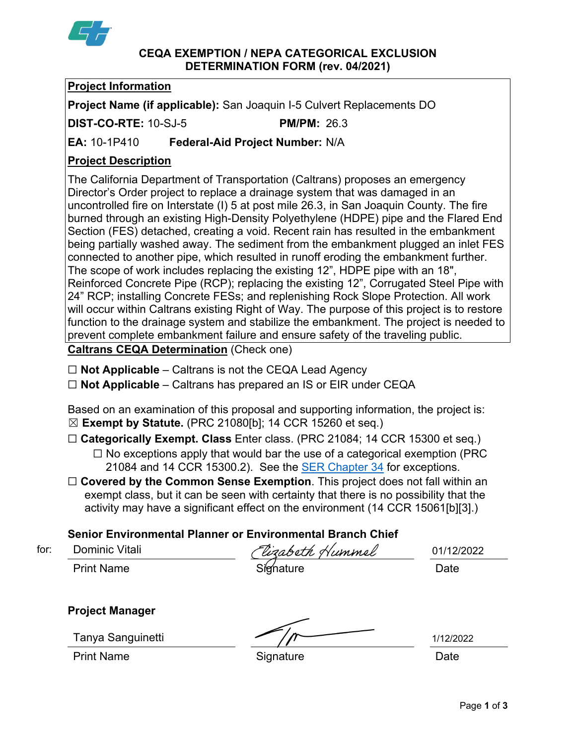

#### **CEQA EXEMPTION / NEPA CATEGORICAL EXCLUSION DETERMINATION FORM (rev. 04/2021)**

# **Project Information**

**Project Name (if applicable):** San Joaquin I-5 Culvert Replacements DO

**DIST-CO-RTE:** 10-SJ-5 **PM/PM:** 26.3

**EA:** 10-1P410 **Federal-Aid Project Number:** N/A

# **Project Description**

The California Department of Transportation (Caltrans) proposes an emergency Director's Order project to replace a drainage system that was damaged in an uncontrolled fire on Interstate (I) 5 at post mile 26.3, in San Joaquin County. The fire burned through an existing High-Density Polyethylene (HDPE) pipe and the Flared End Section (FES) detached, creating a void. Recent rain has resulted in the embankment being partially washed away. The sediment from the embankment plugged an inlet FES connected to another pipe, which resulted in runoff eroding the embankment further. The scope of work includes replacing the existing 12", HDPE pipe with an 18", Reinforced Concrete Pipe (RCP); replacing the existing 12", Corrugated Steel Pipe with 24" RCP; installing Concrete FESs; and replenishing Rock Slope Protection. All work will occur within Caltrans existing Right of Way. The purpose of this project is to restore function to the drainage system and stabilize the embankment. The project is needed to prevent complete embankment failure and ensure safety of the traveling public.

**Caltrans CEQA Determination** (Check one)

☐ **Not Applicable** – Caltrans is not the CEQA Lead Agency

☐ **Not Applicable** – Caltrans has prepared an IS or EIR under CEQA

Based on an examination of this proposal and supporting information, the project is: ☒ **Exempt by Statute.** (PRC 21080[b]; 14 CCR 15260 et seq.)

☐ **Categorically Exempt. Class** Enter class. (PRC 21084; 14 CCR 15300 et seq.)

- ☐ No exceptions apply that would bar the use of a categorical exemption (PRC 21084 and 14 CCR 15300.2). See the **SER Chapter 34** for exceptions.
- □ **Covered by the Common Sense Exemption**. This project does not fall within an exempt class, but it can be seen with certainty that there is no possibility that the activity may have a significant effect on the environment (14 CCR 15061[b][3].)

# **Senior Environmental Planner or Environmental Branch Chief**

Dominic Vitali

Print Name Signature Date for: 01/12/2022

**Project Manager**

Tanya Sanguinetti

Print Name **Signature Date** 

1/12/2022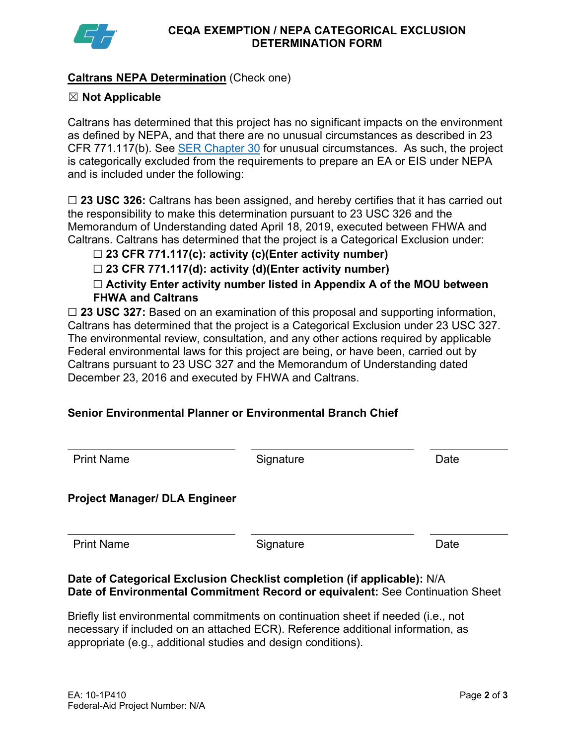

### **Caltrans NEPA Determination** (Check one)

### ☒ **Not Applicable**

Caltrans has determined that this project has no significant impacts on the environment as defined by NEPA, and that there are no unusual circumstances as described in 23 CFR 771.117(b). See [SER Chapter 30](https://dot.ca.gov/programs/environmental-analysis/standard-environmental-reference-ser/volume-1-guidance-for-compliance/ch-30-categorical-exclusions#exception) for unusual circumstances. As such, the project is categorically excluded from the requirements to prepare an EA or EIS under NEPA and is included under the following:

☐ **23 USC 326:** Caltrans has been assigned, and hereby certifies that it has carried out the responsibility to make this determination pursuant to 23 USC 326 and the Memorandum of Understanding dated April 18, 2019, executed between FHWA and Caltrans. Caltrans has determined that the project is a Categorical Exclusion under:

### ☐ **23 CFR 771.117(c): activity (c)(Enter activity number)**

☐ **23 CFR 771.117(d): activity (d)(Enter activity number)**

☐ **Activity Enter activity number listed in Appendix A of the MOU between FHWA and Caltrans**

□ 23 USC 327: Based on an examination of this proposal and supporting information, Caltrans has determined that the project is a Categorical Exclusion under 23 USC 327. The environmental review, consultation, and any other actions required by applicable Federal environmental laws for this project are being, or have been, carried out by Caltrans pursuant to 23 USC 327 and the Memorandum of Understanding dated December 23, 2016 and executed by FHWA and Caltrans.

# **Senior Environmental Planner or Environmental Branch Chief**

| <b>Print Name</b>                    | Signature | Date |
|--------------------------------------|-----------|------|
| <b>Project Manager/ DLA Engineer</b> |           |      |
| <b>Print Name</b>                    | Signature | Date |

#### **Date of Categorical Exclusion Checklist completion (if applicable):** N/A **Date of Environmental Commitment Record or equivalent:** See Continuation Sheet

Briefly list environmental commitments on continuation sheet if needed (i.e., not necessary if included on an attached ECR). Reference additional information, as appropriate (e.g., additional studies and design conditions).